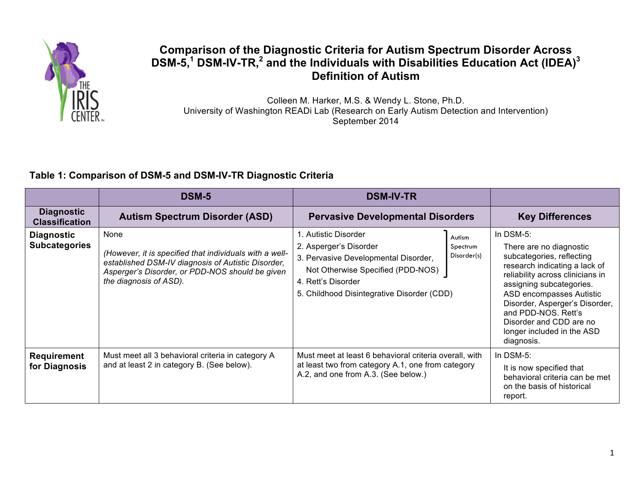

# **Comparison of the Diagnostic Criteria for Autism Spectrum Disorder Across DSM-5, <sup>1</sup> DSM-IV-TR, <sup>2</sup> and the Individuals with Disabilities Education Act (IDEA)<sup>3</sup> Definition of Autism**

Colleen M. Harker, M.S. & Wendy L. Stone, Ph.D. University of Washington READi Lab (Research on Early Autism Detection and Intervention) September 2014

## **Table 1: Comparison of DSM-5 and DSM-IV-TR Diagnostic Criteria**

|                                            | <b>DSM-5</b>                                                                                                                                                                                       | <b>DSM-IV-TR</b>                                                                                                                                                                                |                                   |                                                                                                                                                                                                                                                                                                                                |
|--------------------------------------------|----------------------------------------------------------------------------------------------------------------------------------------------------------------------------------------------------|-------------------------------------------------------------------------------------------------------------------------------------------------------------------------------------------------|-----------------------------------|--------------------------------------------------------------------------------------------------------------------------------------------------------------------------------------------------------------------------------------------------------------------------------------------------------------------------------|
| <b>Diagnostic</b><br><b>Classification</b> | <b>Autism Spectrum Disorder (ASD)</b>                                                                                                                                                              | <b>Pervasive Developmental Disorders</b>                                                                                                                                                        |                                   | <b>Key Differences</b>                                                                                                                                                                                                                                                                                                         |
| <b>Diagnostic</b><br><b>Subcategories</b>  | None<br>(However, it is specified that individuals with a well-<br>established DSM-IV diagnosis of Autistic Disorder,<br>Asperger's Disorder, or PDD-NOS should be given<br>the diagnosis of ASD). | 1. Autistic Disorder<br>2. Asperger's Disorder<br>3. Pervasive Developmental Disorder,<br>Not Otherwise Specified (PDD-NOS)<br>4. Rett's Disorder<br>5. Childhood Disintegrative Disorder (CDD) | Autism<br>Spectrum<br>Disorder(s) | In DSM-5:<br>There are no diagnostic<br>subcategories, reflecting<br>research indicating a lack of<br>reliability across clinicians in<br>assigning subcategories.<br>ASD encompasses Autistic<br>Disorder, Asperger's Disorder,<br>and PDD-NOS. Rett's<br>Disorder and CDD are no<br>longer included in the ASD<br>diagnosis. |
| <b>Requirement</b><br>for Diagnosis        | Must meet all 3 behavioral criteria in category A<br>and at least 2 in category B. (See below).                                                                                                    | Must meet at least 6 behavioral criteria overall, with<br>at least two from category A.1, one from category<br>A.2, and one from A.3. (See below.)                                              |                                   | In DSM-5:<br>It is now specified that<br>behavioral criteria can be met<br>on the basis of historical<br>report.                                                                                                                                                                                                               |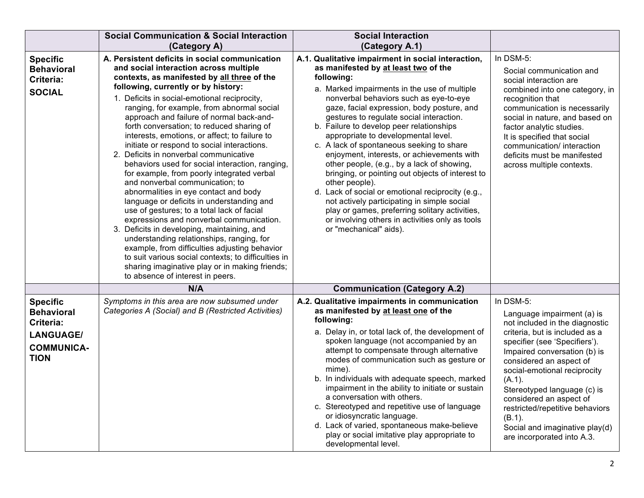|                                                                                                           | <b>Social Communication &amp; Social Interaction</b><br>(Category A)                                                                                                                                                                                                                                                                                                                                                                                                                                                                                                                                                                                                                                                                                                                                                                                                                                                                                                                                                                                                                                                          | <b>Social Interaction</b><br>(Category A.1)                                                                                                                                                                                                                                                                                                                                                                                                                                                                                                                                                                                                                                                                                                                                                                                       |                                                                                                                                                                                                                                                                                                                                                                                                                          |
|-----------------------------------------------------------------------------------------------------------|-------------------------------------------------------------------------------------------------------------------------------------------------------------------------------------------------------------------------------------------------------------------------------------------------------------------------------------------------------------------------------------------------------------------------------------------------------------------------------------------------------------------------------------------------------------------------------------------------------------------------------------------------------------------------------------------------------------------------------------------------------------------------------------------------------------------------------------------------------------------------------------------------------------------------------------------------------------------------------------------------------------------------------------------------------------------------------------------------------------------------------|-----------------------------------------------------------------------------------------------------------------------------------------------------------------------------------------------------------------------------------------------------------------------------------------------------------------------------------------------------------------------------------------------------------------------------------------------------------------------------------------------------------------------------------------------------------------------------------------------------------------------------------------------------------------------------------------------------------------------------------------------------------------------------------------------------------------------------------|--------------------------------------------------------------------------------------------------------------------------------------------------------------------------------------------------------------------------------------------------------------------------------------------------------------------------------------------------------------------------------------------------------------------------|
| <b>Specific</b><br><b>Behavioral</b><br>Criteria:<br><b>SOCIAL</b>                                        | A. Persistent deficits in social communication<br>and social interaction across multiple<br>contexts, as manifested by all three of the<br>following, currently or by history:<br>1. Deficits in social-emotional reciprocity,<br>ranging, for example, from abnormal social<br>approach and failure of normal back-and-<br>forth conversation; to reduced sharing of<br>interests, emotions, or affect; to failure to<br>initiate or respond to social interactions.<br>2. Deficits in nonverbal communicative<br>behaviors used for social interaction, ranging,<br>for example, from poorly integrated verbal<br>and nonverbal communication; to<br>abnormalities in eye contact and body<br>language or deficits in understanding and<br>use of gestures; to a total lack of facial<br>expressions and nonverbal communication.<br>3. Deficits in developing, maintaining, and<br>understanding relationships, ranging, for<br>example, from difficulties adjusting behavior<br>to suit various social contexts; to difficulties in<br>sharing imaginative play or in making friends;<br>to absence of interest in peers. | A.1. Qualitative impairment in social interaction,<br>as manifested by at least two of the<br>following:<br>a. Marked impairments in the use of multiple<br>nonverbal behaviors such as eye-to-eye<br>gaze, facial expression, body posture, and<br>gestures to regulate social interaction.<br>b. Failure to develop peer relationships<br>appropriate to developmental level.<br>c. A lack of spontaneous seeking to share<br>enjoyment, interests, or achievements with<br>other people, (e.g., by a lack of showing,<br>bringing, or pointing out objects of interest to<br>other people).<br>d. Lack of social or emotional reciprocity (e.g.,<br>not actively participating in simple social<br>play or games, preferring solitary activities,<br>or involving others in activities only as tools<br>or "mechanical" aids). | In DSM-5:<br>Social communication and<br>social interaction are<br>combined into one category, in<br>recognition that<br>communication is necessarily<br>social in nature, and based on<br>factor analytic studies.<br>It is specified that social<br>communication/ interaction<br>deficits must be manifested<br>across multiple contexts.                                                                             |
|                                                                                                           | N/A                                                                                                                                                                                                                                                                                                                                                                                                                                                                                                                                                                                                                                                                                                                                                                                                                                                                                                                                                                                                                                                                                                                           | <b>Communication (Category A.2)</b>                                                                                                                                                                                                                                                                                                                                                                                                                                                                                                                                                                                                                                                                                                                                                                                               |                                                                                                                                                                                                                                                                                                                                                                                                                          |
| <b>Specific</b><br><b>Behavioral</b><br>Criteria:<br><b>LANGUAGE/</b><br><b>COMMUNICA-</b><br><b>TION</b> | Symptoms in this area are now subsumed under<br>Categories A (Social) and B (Restricted Activities)                                                                                                                                                                                                                                                                                                                                                                                                                                                                                                                                                                                                                                                                                                                                                                                                                                                                                                                                                                                                                           | A.2. Qualitative impairments in communication<br>as manifested by at least one of the<br>following:<br>a. Delay in, or total lack of, the development of<br>spoken language (not accompanied by an<br>attempt to compensate through alternative<br>modes of communication such as gesture or<br>mime).<br>b. In individuals with adequate speech, marked<br>impairment in the ability to initiate or sustain<br>a conversation with others.<br>c. Stereotyped and repetitive use of language<br>or idiosyncratic language.<br>d. Lack of varied, spontaneous make-believe<br>play or social imitative play appropriate to<br>developmental level.                                                                                                                                                                                 | In DSM-5:<br>Language impairment (a) is<br>not included in the diagnostic<br>criteria, but is included as a<br>specifier (see 'Specifiers').<br>Impaired conversation (b) is<br>considered an aspect of<br>social-emotional reciprocity<br>(A.1).<br>Stereotyped language (c) is<br>considered an aspect of<br>restricted/repetitive behaviors<br>(B.1).<br>Social and imaginative play(d)<br>are incorporated into A.3. |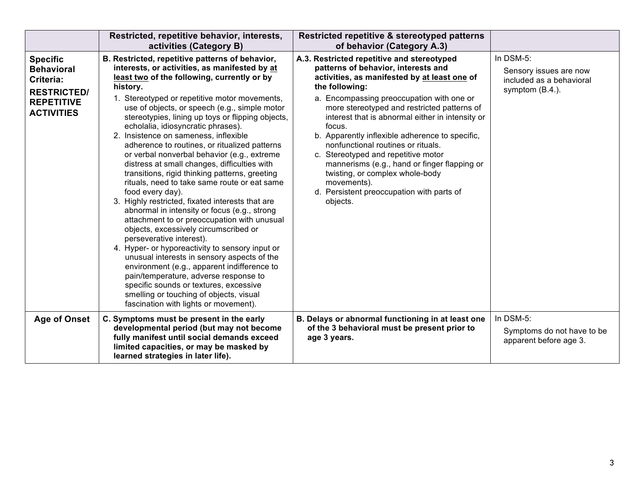|                                                                                                                   | Restricted, repetitive behavior, interests,<br>activities (Category B)                                                                                                                                                                                                                                                                                                                                                                                                                                                                                                                                                                                                                                                                                                                                                                                                                                                                                                                                                                                                                                                                                                                                                  | Restricted repetitive & stereotyped patterns<br>of behavior (Category A.3)                                                                                                                                                                                                                                                                                                                                                                                                                                                                                                                               |                                                                                    |
|-------------------------------------------------------------------------------------------------------------------|-------------------------------------------------------------------------------------------------------------------------------------------------------------------------------------------------------------------------------------------------------------------------------------------------------------------------------------------------------------------------------------------------------------------------------------------------------------------------------------------------------------------------------------------------------------------------------------------------------------------------------------------------------------------------------------------------------------------------------------------------------------------------------------------------------------------------------------------------------------------------------------------------------------------------------------------------------------------------------------------------------------------------------------------------------------------------------------------------------------------------------------------------------------------------------------------------------------------------|----------------------------------------------------------------------------------------------------------------------------------------------------------------------------------------------------------------------------------------------------------------------------------------------------------------------------------------------------------------------------------------------------------------------------------------------------------------------------------------------------------------------------------------------------------------------------------------------------------|------------------------------------------------------------------------------------|
| <b>Specific</b><br><b>Behavioral</b><br>Criteria:<br><b>RESTRICTED/</b><br><b>REPETITIVE</b><br><b>ACTIVITIES</b> | B. Restricted, repetitive patterns of behavior,<br>interests, or activities, as manifested by at<br>least two of the following, currently or by<br>history.<br>1. Stereotyped or repetitive motor movements,<br>use of objects, or speech (e.g., simple motor<br>stereotypies, lining up toys or flipping objects,<br>echolalia, idiosyncratic phrases).<br>2. Insistence on sameness, inflexible<br>adherence to routines, or ritualized patterns<br>or verbal nonverbal behavior (e.g., extreme<br>distress at small changes, difficulties with<br>transitions, rigid thinking patterns, greeting<br>rituals, need to take same route or eat same<br>food every day).<br>3. Highly restricted, fixated interests that are<br>abnormal in intensity or focus (e.g., strong<br>attachment to or preoccupation with unusual<br>objects, excessively circumscribed or<br>perseverative interest).<br>4. Hyper- or hyporeactivity to sensory input or<br>unusual interests in sensory aspects of the<br>environment (e.g., apparent indifference to<br>pain/temperature, adverse response to<br>specific sounds or textures, excessive<br>smelling or touching of objects, visual<br>fascination with lights or movement). | A.3. Restricted repetitive and stereotyped<br>patterns of behavior, interests and<br>activities, as manifested by at least one of<br>the following:<br>a. Encompassing preoccupation with one or<br>more stereotyped and restricted patterns of<br>interest that is abnormal either in intensity or<br>focus.<br>b. Apparently inflexible adherence to specific,<br>nonfunctional routines or rituals.<br>c. Stereotyped and repetitive motor<br>mannerisms (e.g., hand or finger flapping or<br>twisting, or complex whole-body<br>movements).<br>d. Persistent preoccupation with parts of<br>objects. | In DSM-5:<br>Sensory issues are now<br>included as a behavioral<br>symptom (B.4.). |
| Age of Onset                                                                                                      | C. Symptoms must be present in the early<br>developmental period (but may not become<br>fully manifest until social demands exceed<br>limited capacities, or may be masked by<br>learned strategies in later life).                                                                                                                                                                                                                                                                                                                                                                                                                                                                                                                                                                                                                                                                                                                                                                                                                                                                                                                                                                                                     | B. Delays or abnormal functioning in at least one<br>of the 3 behavioral must be present prior to<br>age 3 years.                                                                                                                                                                                                                                                                                                                                                                                                                                                                                        | In DSM-5:<br>Symptoms do not have to be<br>apparent before age 3.                  |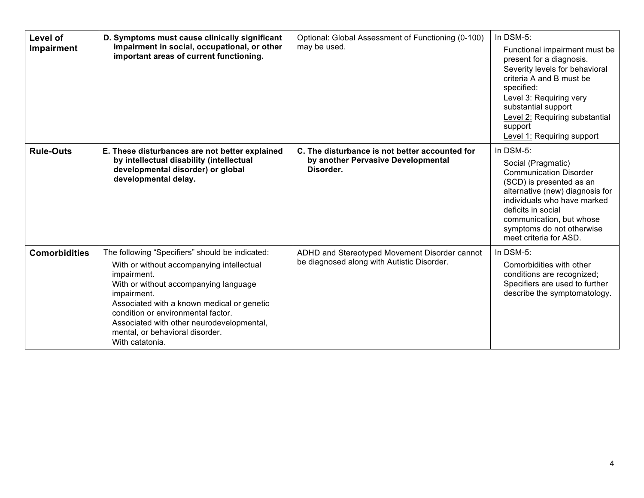| Level of<br>Impairment | D. Symptoms must cause clinically significant<br>impairment in social, occupational, or other<br>important areas of current functioning.                                                                                                                                                                                                                   | Optional: Global Assessment of Functioning (0-100)<br>may be used.                                | In DSM-5:<br>Functional impairment must be<br>present for a diagnosis.<br>Severity levels for behavioral<br>criteria A and B must be<br>specified:<br>Level 3: Requiring very<br>substantial support<br>Level 2: Requiring substantial<br>support<br>Level 1: Requiring support |
|------------------------|------------------------------------------------------------------------------------------------------------------------------------------------------------------------------------------------------------------------------------------------------------------------------------------------------------------------------------------------------------|---------------------------------------------------------------------------------------------------|---------------------------------------------------------------------------------------------------------------------------------------------------------------------------------------------------------------------------------------------------------------------------------|
| <b>Rule-Outs</b>       | E. These disturbances are not better explained<br>by intellectual disability (intellectual<br>developmental disorder) or global<br>developmental delay.                                                                                                                                                                                                    | C. The disturbance is not better accounted for<br>by another Pervasive Developmental<br>Disorder. | In DSM-5:<br>Social (Pragmatic)<br><b>Communication Disorder</b><br>(SCD) is presented as an<br>alternative (new) diagnosis for<br>individuals who have marked<br>deficits in social<br>communication, but whose<br>symptoms do not otherwise<br>meet criteria for ASD.         |
| <b>Comorbidities</b>   | The following "Specifiers" should be indicated:<br>With or without accompanying intellectual<br>impairment.<br>With or without accompanying language<br>impairment.<br>Associated with a known medical or genetic<br>condition or environmental factor.<br>Associated with other neurodevelopmental,<br>mental, or behavioral disorder.<br>With catatonia. | ADHD and Stereotyped Movement Disorder cannot<br>be diagnosed along with Autistic Disorder.       | In DSM-5:<br>Comorbidities with other<br>conditions are recognized;<br>Specifiers are used to further<br>describe the symptomatology.                                                                                                                                           |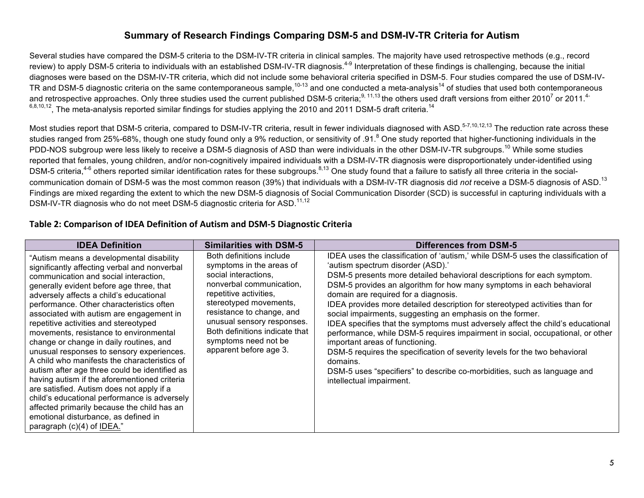#### **Summary of Research Findings Comparing DSM-5 and DSM-IV-TR Criteria for Autism**

Several studies have compared the DSM-5 criteria to the DSM-IV-TR criteria in clinical samples. The majority have used retrospective methods (e.g., record review) to apply DSM-5 criteria to individuals with an established DSM-IV-TR diagnosis.<sup>4-9</sup> Interpretation of these findings is challenging, because the initial diagnoses were based on the DSM-IV-TR criteria, which did not include some behavioral criteria specified in DSM-5. Four studies compared the use of DSM-IV-TR and DSM-5 diagnostic criteria on the same contemporaneous sample,  $10-13$  and one conducted a meta-analysis<sup>14</sup> of studies that used both contemporaneous and retrospective approaches. Only three studies used the current published DSM-5 criteria;<sup>9, 11,13</sup> the others used draft versions from either 2010<sup>7</sup> or 2011.<sup>4-</sup>  $6,8,10,12$ , The meta-analysis reported similar findings for studies applying the 2010 and 2011 DSM-5 draft criteria.<sup>14</sup>

Most studies report that DSM-5 criteria, compared to DSM-IV-TR criteria, result in fewer individuals diagnosed with ASD.<sup>5-7,10,12,13</sup> The reduction rate across these studies ranged from 25%-68%, though one study found only a 9% reduction, or sensitivity of .91.<sup>8</sup> One study reported that higher-functioning individuals in the PDD-NOS subgroup were less likely to receive a DSM-5 diagnosis of ASD than were individuals in the other DSM-IV-TR subgroups.<sup>10</sup> While some studies reported that females, young children, and/or non-cognitively impaired individuals with a DSM-IV-TR diagnosis were disproportionately under-identified using DSM-5 criteria,<sup>4-6</sup> others reported similar identification rates for these subgroups.<sup>8,13</sup> One study found that a failure to satisfy all three criteria in the socialcommunication domain of DSM-5 was the most common reason (39%) that individuals with a DSM-IV-TR diagnosis did *not* receive a DSM-5 diagnosis of ASD.<sup>13</sup> Findings are mixed regarding the extent to which the new DSM-5 diagnosis of Social Communication Disorder (SCD) is successful in capturing individuals with a DSM-IV-TR diagnosis who do not meet DSM-5 diagnostic criteria for ASD.<sup>11,12</sup>

#### **Table 2: Comparison of IDEA Definition of Autism and DSM-5 Diagnostic Criteria**

| <b>IDEA Definition</b>                                                                                                                                                                                                                                                                                                                                                                                                                                                                                                                                                                                                                                                                                                                                                                                                                                         | <b>Similarities with DSM-5</b>                                                                                                                                                                                                                                                                              | <b>Differences from DSM-5</b>                                                                                                                                                                                                                                                                                                                                                                                                                                                                                                                                                                                                                                                                                                                                                                                                                                        |
|----------------------------------------------------------------------------------------------------------------------------------------------------------------------------------------------------------------------------------------------------------------------------------------------------------------------------------------------------------------------------------------------------------------------------------------------------------------------------------------------------------------------------------------------------------------------------------------------------------------------------------------------------------------------------------------------------------------------------------------------------------------------------------------------------------------------------------------------------------------|-------------------------------------------------------------------------------------------------------------------------------------------------------------------------------------------------------------------------------------------------------------------------------------------------------------|----------------------------------------------------------------------------------------------------------------------------------------------------------------------------------------------------------------------------------------------------------------------------------------------------------------------------------------------------------------------------------------------------------------------------------------------------------------------------------------------------------------------------------------------------------------------------------------------------------------------------------------------------------------------------------------------------------------------------------------------------------------------------------------------------------------------------------------------------------------------|
| "Autism means a developmental disability<br>significantly affecting verbal and nonverbal<br>communication and social interaction,<br>generally evident before age three, that<br>adversely affects a child's educational<br>performance. Other characteristics often<br>associated with autism are engagement in<br>repetitive activities and stereotyped<br>movements, resistance to environmental<br>change or change in daily routines, and<br>unusual responses to sensory experiences.<br>A child who manifests the characteristics of<br>autism after age three could be identified as<br>having autism if the aforementioned criteria<br>are satisfied. Autism does not apply if a<br>child's educational performance is adversely<br>affected primarily because the child has an<br>emotional disturbance, as defined in<br>paragraph (c)(4) of IDEA." | Both definitions include<br>symptoms in the areas of<br>social interactions,<br>nonverbal communication,<br>repetitive activities,<br>stereotyped movements,<br>resistance to change, and<br>unusual sensory responses.<br>Both definitions indicate that<br>symptoms need not be<br>apparent before age 3. | IDEA uses the classification of 'autism,' while DSM-5 uses the classification of<br>'autism spectrum disorder (ASD).'<br>DSM-5 presents more detailed behavioral descriptions for each symptom.<br>DSM-5 provides an algorithm for how many symptoms in each behavioral<br>domain are required for a diagnosis.<br>IDEA provides more detailed description for stereotyped activities than for<br>social impairments, suggesting an emphasis on the former.<br>IDEA specifies that the symptoms must adversely affect the child's educational<br>performance, while DSM-5 requires impairment in social, occupational, or other<br>important areas of functioning.<br>DSM-5 requires the specification of severity levels for the two behavioral<br>domains.<br>DSM-5 uses "specifiers" to describe co-morbidities, such as language and<br>intellectual impairment. |